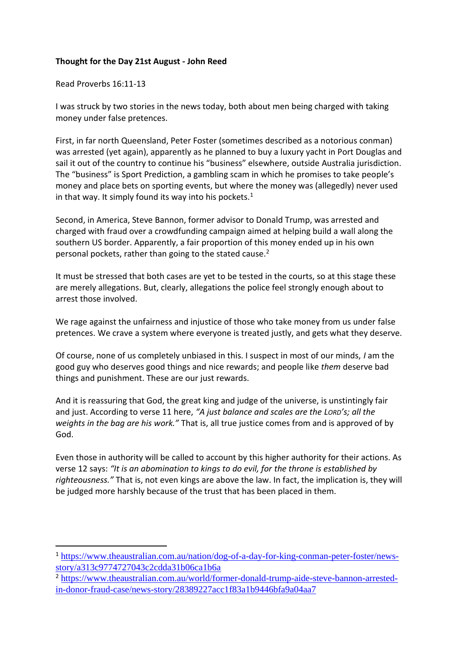## **Thought for the Day 21st August - John Reed**

Read Proverbs 16:11-13

I was struck by two stories in the news today, both about men being charged with taking money under false pretences.

First, in far north Queensland, Peter Foster (sometimes described as a notorious conman) was arrested (yet again), apparently as he planned to buy a luxury yacht in Port Douglas and sail it out of the country to continue his "business" elsewhere, outside Australia jurisdiction. The "business" is Sport Prediction, a gambling scam in which he promises to take people's money and place bets on sporting events, but where the money was (allegedly) never used in that way. It simply found its way into his pockets. $<sup>1</sup>$ </sup>

Second, in America, Steve Bannon, former advisor to Donald Trump, was arrested and charged with fraud over a crowdfunding campaign aimed at helping build a wall along the southern US border. Apparently, a fair proportion of this money ended up in his own personal pockets, rather than going to the stated cause.<sup>2</sup>

It must be stressed that both cases are yet to be tested in the courts, so at this stage these are merely allegations. But, clearly, allegations the police feel strongly enough about to arrest those involved.

We rage against the unfairness and injustice of those who take money from us under false pretences. We crave a system where everyone is treated justly, and gets what they deserve.

Of course, none of us completely unbiased in this. I suspect in most of our minds, *I* am the good guy who deserves good things and nice rewards; and people like *them* deserve bad things and punishment. These are our just rewards.

And it is reassuring that God, the great king and judge of the universe, is unstintingly fair and just. According to verse 11 here, *"A just balance and scales are the LORD's; all the weights in the bag are his work."* That is, all true justice comes from and is approved of by God.

Even those in authority will be called to account by this higher authority for their actions. As verse 12 says: *"It is an abomination to kings to do evil, for the throne is established by righteousness."* That is, not even kings are above the law. In fact, the implication is, they will be judged more harshly because of the trust that has been placed in them.

<sup>1</sup> [https://www.theaustralian.com.au/nation/dog-of-a-day-for-king-conman-peter-foster/news](https://www.theaustralian.com.au/nation/dog-of-a-day-for-king-conman-peter-foster/news-story/a313c9774727043c2cdda31b06ca1b6a)[story/a313c9774727043c2cdda31b06ca1b6a](https://www.theaustralian.com.au/nation/dog-of-a-day-for-king-conman-peter-foster/news-story/a313c9774727043c2cdda31b06ca1b6a)

<sup>2</sup> [https://www.theaustralian.com.au/world/former-donald-trump-aide-steve-bannon-arrested](https://www.theaustralian.com.au/world/former-donald-trump-aide-steve-bannon-arrested-in-donor-fraud-case/news-story/28389227acc1f83a1b9446bfa9a04aa7)[in-donor-fraud-case/news-story/28389227acc1f83a1b9446bfa9a04aa7](https://www.theaustralian.com.au/world/former-donald-trump-aide-steve-bannon-arrested-in-donor-fraud-case/news-story/28389227acc1f83a1b9446bfa9a04aa7)